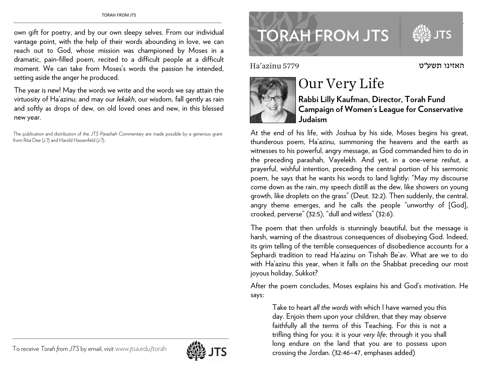own gift for poetry, and by our own sleepy selves. From our individual vantage point, with the help of their words abounding in love, we can reach out to God, whose mission was championed by Moses in a dramatic, pain-filled poem, recited to a difficult people at a difficult moment. We can take from Moses's words the passion he intended, setting aside the anger he produced.

The year is new! May the words we write and the words we say attain the virtuosity of Ha'azinu; and may our *lekakh*, our wisdom, fall gently as rain and softly as drops of dew, on old loved ones and new, in this blessed new year.

The publication and distribution of the *JTS Parashah Commentary* are made possible by a generous grant from Rita Dee (*z"l*) and Harold Hassenfeld (*z"l*).

## TORAH FROM JTS **TORAH FROM JTS**

Ha'azinu 5779



## Our Very Life

**Rabbi Lilly Kaufman, Director, Torah Fund Campaign of Women's League for Conservative Judaism** 

האזינו

At the end of his life, with Joshua by his side, Moses begins his great, thunderous poem, Ha'azinu, summoning the heavens and the earth as witnesses to his powerful, angry message, as God commanded him to do in the preceding parashah, Vayelekh. And yet, in a one-verse *reshut*, <sup>a</sup> prayerful, wishful intention, preceding the central portion of his sermonic poem, he says that he wants his words to land lightly: "May my discourse come down as the rain, my speech distill as the dew, like showers on young growth, like droplets on the grass" (Deut. 32:2). Then suddenly, the central, angry theme emerges, and he calls the people "unworthy of [God], crooked, perverse" (32:5), "dull and witless" (32:6).

The poem that then unfolds is stunningly beautiful, but the message is harsh, warning of the disastrous consequences of disobeying God. Indeed, its grim telling of the terrible consequences of disobedience accounts for a Sephardi tradition to read Ha'azinu on Tishah Be'av. What are we to do with Ha'azinu this year, when it falls on the Shabbat preceding our most joyous holiday, Sukkot?

After the poem concludes, Moses explains his and God's motivation. He says:

Take to heart *all the words* with which I have warned you this day. Enjoin them upon your children, that they may observe faithfully all the terms of this Teaching. For this is not a trifling thing for you: it is your *very life*; through it you shall long endure on the land that you are to possess upon crossing the Jordan. (32:46–47, emphases added)